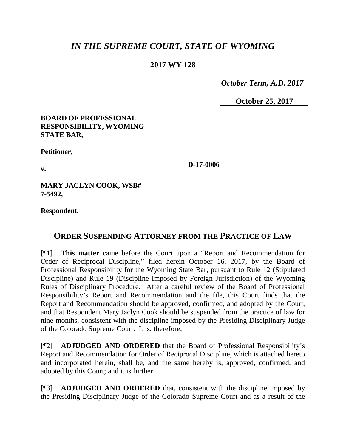# *IN THE SUPREME COURT, STATE OF WYOMING*

## **2017 WY 128**

 *October Term, A.D. 2017*

**October 25, 2017**

#### **BOARD OF PROFESSIONAL RESPONSIBILITY, WYOMING STATE BAR,**

**Petitioner,**

**v.**

**D-17-0006**

**MARY JACLYN COOK, WSB# 7-5492,**

**Respondent.**

## **ORDER SUSPENDING ATTORNEY FROM THE PRACTICE OF LAW**

[¶1] **This matter** came before the Court upon a "Report and Recommendation for Order of Reciprocal Discipline," filed herein October 16, 2017, by the Board of Professional Responsibility for the Wyoming State Bar, pursuant to Rule 12 (Stipulated Discipline) and Rule 19 (Discipline Imposed by Foreign Jurisdiction) of the Wyoming Rules of Disciplinary Procedure. After a careful review of the Board of Professional Responsibility's Report and Recommendation and the file, this Court finds that the Report and Recommendation should be approved, confirmed, and adopted by the Court, and that Respondent Mary Jaclyn Cook should be suspended from the practice of law for nine months, consistent with the discipline imposed by the Presiding Disciplinary Judge of the Colorado Supreme Court. It is, therefore,

[¶2] **ADJUDGED AND ORDERED** that the Board of Professional Responsibility's Report and Recommendation for Order of Reciprocal Discipline, which is attached hereto and incorporated herein, shall be, and the same hereby is, approved, confirmed, and adopted by this Court; and it is further

[¶3] **ADJUDGED AND ORDERED** that, consistent with the discipline imposed by the Presiding Disciplinary Judge of the Colorado Supreme Court and as a result of the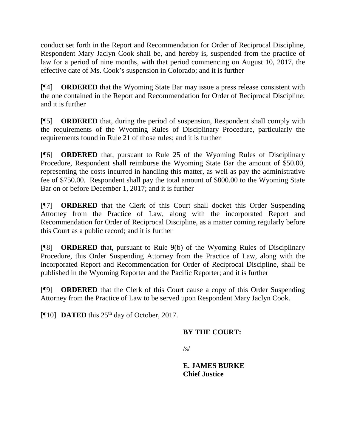conduct set forth in the Report and Recommendation for Order of Reciprocal Discipline, Respondent Mary Jaclyn Cook shall be, and hereby is, suspended from the practice of law for a period of nine months, with that period commencing on August 10, 2017, the effective date of Ms. Cook's suspension in Colorado; and it is further

[¶4] **ORDERED** that the Wyoming State Bar may issue a press release consistent with the one contained in the Report and Recommendation for Order of Reciprocal Discipline; and it is further

[¶5] **ORDERED** that, during the period of suspension, Respondent shall comply with the requirements of the Wyoming Rules of Disciplinary Procedure, particularly the requirements found in Rule 21 of those rules; and it is further

[¶6] **ORDERED** that, pursuant to Rule 25 of the Wyoming Rules of Disciplinary Procedure, Respondent shall reimburse the Wyoming State Bar the amount of \$50.00, representing the costs incurred in handling this matter, as well as pay the administrative fee of \$750.00. Respondent shall pay the total amount of \$800.00 to the Wyoming State Bar on or before December 1, 2017; and it is further

[¶7] **ORDERED** that the Clerk of this Court shall docket this Order Suspending Attorney from the Practice of Law, along with the incorporated Report and Recommendation for Order of Reciprocal Discipline, as a matter coming regularly before this Court as a public record; and it is further

[¶8] **ORDERED** that, pursuant to Rule 9(b) of the Wyoming Rules of Disciplinary Procedure, this Order Suspending Attorney from the Practice of Law, along with the incorporated Report and Recommendation for Order of Reciprocal Discipline, shall be published in the Wyoming Reporter and the Pacific Reporter; and it is further

[¶9] **ORDERED** that the Clerk of this Court cause a copy of this Order Suspending Attorney from the Practice of Law to be served upon Respondent Mary Jaclyn Cook.

[ $[10]$  **DATED** this  $25<sup>th</sup>$  day of October, 2017.

## **BY THE COURT:**

 $\sqrt{s}$ 

**E. JAMES BURKE Chief Justice**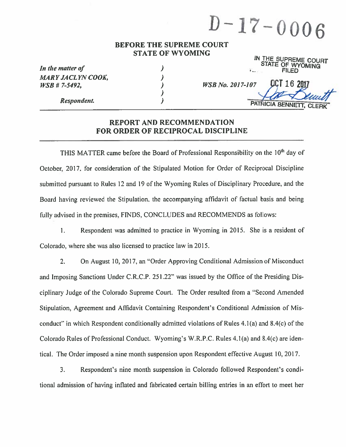$D-17-0006$ 

#### **BEFORE THE SUPREME COURT STATE OF WYOMING**

 $\overline{\mathcal{L}}$ 

 $\lambda$  $\lambda$ 

 $\lambda$ 

| In the matter of         |  |
|--------------------------|--|
| <b>MARY JACLYN COOK,</b> |  |
| $WSB$ # 7-5492,          |  |

**Respondent.** 

|                     | IN THE SUPREME COURT<br>STATE OF WYOMING |
|---------------------|------------------------------------------|
| $F_{\text{max}}(x)$ | <b>FILED</b>                             |

**WSB No. 2017-107** 

**PATRICIA BENNETT** 

OCT 16 201

#### **REPORT AND RECOMMENDATION FOR ORDER OF RECIPROCAL DISCIPLINE**

THIS MATTER came before the Board of Professional Responsibility on the 10<sup>th</sup> day of October, 2017, for consideration of the Stipulated Motion for Order of Reciprocal Discipline submitted pursuant to Rules 12 and 19 of the Wyoming Rules of Disciplinary Procedure, and the Board having reviewed the Stipulation, the accompanying affidavit of factual basis and being fully advised in the premises, FINDS, CONCLUDES and RECOMMENDS as follows:

Respondent was admitted to practice in Wyoming in 2015. She is a resident of  $1.$ Colorado, where she was also licensed to practice law in 2015.

 $2.$ On August 10, 2017, an "Order Approving Conditional Admission of Misconduct and Imposing Sanctions Under C.R.C.P. 251.22" was issued by the Office of the Presiding Disciplinary Judge of the Colorado Supreme Court. The Order resulted from a "Second Amended" Stipulation, Agreement and Affidavit Containing Respondent's Conditional Admission of Misconduct" in which Respondent conditionally admitted violations of Rules 4.1(a) and 8.4(c) of the Colorado Rules of Professional Conduct. Wyoming's W.R.P.C. Rules 4.1(a) and 8.4(c) are identical. The Order imposed a nine month suspension upon Respondent effective August 10, 2017.

3. Respondent's nine month suspension in Colorado followed Respondent's conditional admission of having inflated and fabricated certain billing entries in an effort to meet her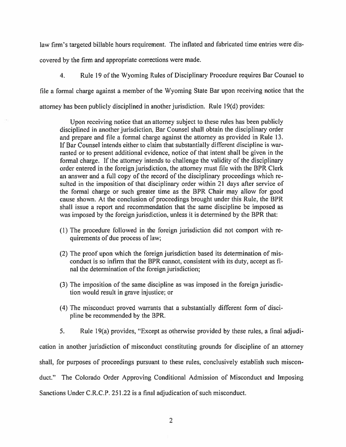law firm's targeted billable hours requirement. The inflated and fabricated time entries were discovered by the firm and appropriate corrections were made.

Rule 19 of the Wyoming Rules of Disciplinary Procedure requires Bar Counsel to  $\overline{4}$ .

file a formal charge against a member of the Wyoming State Bar upon receiving notice that the

attorney has been publicly disciplined in another jurisdiction. Rule 19(d) provides:

Upon receiving notice that an attorney subject to these rules has been publicly disciplined in another jurisdiction, Bar Counsel shall obtain the disciplinary order and prepare and file a formal charge against the attorney as provided in Rule 13. If Bar Counsel intends either to claim that substantially different discipline is warranted or to present additional evidence, notice of that intent shall be given in the formal charge. If the attorney intends to challenge the validity of the disciplinary order entered in the foreign jurisdiction, the attorney must file with the BPR Clerk an answer and a full copy of the record of the disciplinary proceedings which resulted in the imposition of that disciplinary order within 21 days after service of the formal charge or such greater time as the BPR Chair may allow for good cause shown. At the conclusion of proceedings brought under this Rule, the BPR shall issue a report and recommendation that the same discipline be imposed as was imposed by the foreign jurisdiction, unless it is determined by the BPR that:

- (1) The procedure followed in the foreign jurisdiction did not comport with requirements of due process of law;
- (2) The proof upon which the foreign jurisdiction based its determination of misconduct is so infirm that the BPR cannot, consistent with its duty, accept as final the determination of the foreign jurisdiction;
- (3) The imposition of the same discipline as was imposed in the foreign jurisdiction would result in grave injustice; or
- (4) The misconduct proved warrants that a substantially different form of discipline be recommended by the BPR.
- $5<sub>1</sub>$ Rule 19(a) provides, "Except as otherwise provided by these rules, a final adjudi-

cation in another jurisdiction of misconduct constituting grounds for discipline of an attorney shall, for purposes of proceedings pursuant to these rules, conclusively establish such misconduct." The Colorado Order Approving Conditional Admission of Misconduct and Imposing Sanctions Under C.R.C.P. 251.22 is a final adjudication of such misconduct.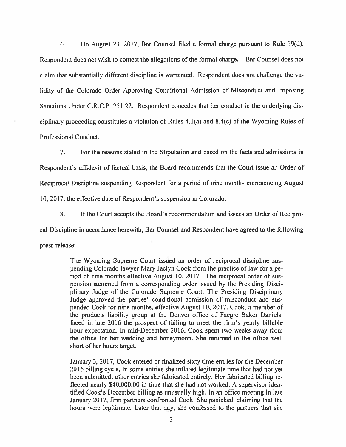6. On August 23, 2017, Bar Counsel filed a formal charge pursuant to Rule 19(d). Respondent does not wish to contest the allegations of the formal charge. Bar Counsel does not claim that substantially different discipline is warranted. Respondent does not challenge the validity of the Colorado Order Approving Conditional Admission of Misconduct and Imposing Sanctions Under C.R.C.P. 251.22. Respondent concedes that her conduct in the underlying disciplinary proceeding constitutes a violation of Rules  $4.1(a)$  and  $8.4(c)$  of the Wyoming Rules of Professional Conduct.

 $7<sup>1</sup>$ For the reasons stated in the Stipulation and based on the facts and admissions in Respondent's affidavit of factual basis, the Board recommends that the Court issue an Order of Reciprocal Discipline suspending Respondent for a period of nine months commencing August 10, 2017, the effective date of Respondent's suspension in Colorado.

8. If the Court accepts the Board's recommendation and issues an Order of Reciprocal Discipline in accordance herewith, Bar Counsel and Respondent have agreed to the following press release:

> The Wyoming Supreme Court issued an order of reciprocal discipline suspending Colorado lawyer Mary Jaclyn Cook from the practice of law for a period of nine months effective August 10, 2017. The reciprocal order of suspension stemmed from a corresponding order issued by the Presiding Disciplinary Judge of the Colorado Supreme Court. The Presiding Disciplinary Judge approved the parties' conditional admission of misconduct and suspended Cook for nine months, effective August 10, 2017. Cook, a member of the products liability group at the Denver office of Faegre Baker Daniels, faced in late 2016 the prospect of failing to meet the firm's yearly billable hour expectation. In mid-December 2016, Cook spent two weeks away from the office for her wedding and honeymoon. She returned to the office well short of her hours target.

> January 3, 2017, Cook entered or finalized sixty time entries for the December 2016 billing cycle. In some entries she inflated legitimate time that had not yet been submitted; other entries she fabricated entirely. Her fabricated billing reflected nearly \$40,000.00 in time that she had not worked. A supervisor identified Cook's December billing as unusually high. In an office meeting in late January 2017, firm partners confronted Cook. She panicked, claiming that the hours were legitimate. Later that day, she confessed to the partners that she